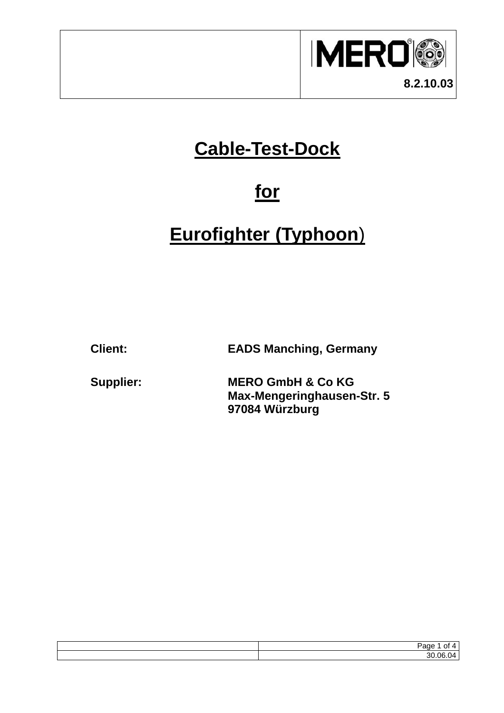

## **Cable-Test-Dock**

### **for**

# **Eurofighter (Typhoon**)

**Client: EADS Manching, Germany** 

**Supplier: MERO GmbH & Co KG Max-Mengeringhausen-Str. 5 97084 Würzburg** 

| $\overline{\phantom{a}}$<br>- |
|-------------------------------|
| $ -$<br>۰.                    |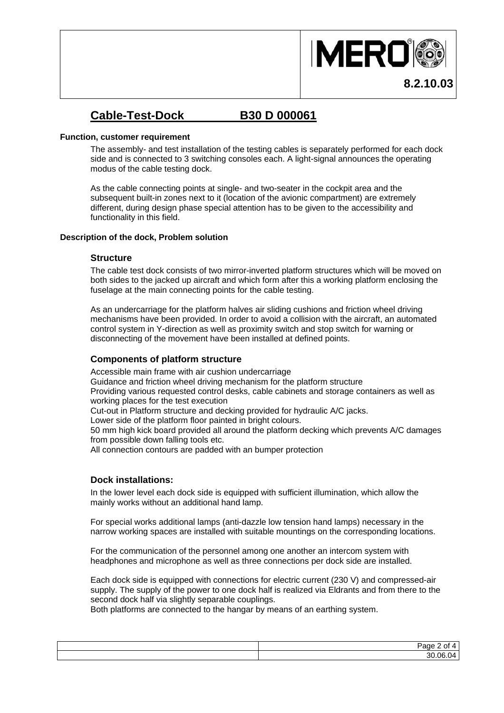

**8.2.10.03**

### **Cable-Test-Dock B30 D 000061**

#### **Function, customer requirement**

The assembly- and test installation of the testing cables is separately performed for each dock side and is connected to 3 switching consoles each. A light-signal announces the operating modus of the cable testing dock.

As the cable connecting points at single- and two-seater in the cockpit area and the subsequent built-in zones next to it (location of the avionic compartment) are extremely different, during design phase special attention has to be given to the accessibility and functionality in this field.

#### **Description of the dock, Problem solution**

#### **Structure**

The cable test dock consists of two mirror-inverted platform structures which will be moved on both sides to the jacked up aircraft and which form after this a working platform enclosing the fuselage at the main connecting points for the cable testing.

As an undercarriage for the platform halves air sliding cushions and friction wheel driving mechanisms have been provided. In order to avoid a collision with the aircraft, an automated control system in Y-direction as well as proximity switch and stop switch for warning or disconnecting of the movement have been installed at defined points.

#### **Components of platform structure**

Accessible main frame with air cushion undercarriage Guidance and friction wheel driving mechanism for the platform structure Providing various requested control desks, cable cabinets and storage containers as well as working places for the test execution Cut-out in Platform structure and decking provided for hydraulic A/C jacks. Lower side of the platform floor painted in bright colours. 50 mm high kick board provided all around the platform decking which prevents A/C damages from possible down falling tools etc. All connection contours are padded with an bumper protection

#### **Dock installations:**

In the lower level each dock side is equipped with sufficient illumination, which allow the mainly works without an additional hand lamp.

For special works additional lamps (anti-dazzle low tension hand lamps) necessary in the narrow working spaces are installed with suitable mountings on the corresponding locations.

For the communication of the personnel among one another an intercom system with headphones and microphone as well as three connections per dock side are installed.

Each dock side is equipped with connections for electric current (230 V) and compressed-air supply. The supply of the power to one dock half is realized via Eldrants and from there to the second dock half via slightly separable couplings.

Both platforms are connected to the hangar by means of an earthing system.

| ane.<br>ገ†<br>- - |
|-------------------|
| 30.06.<br>04)     |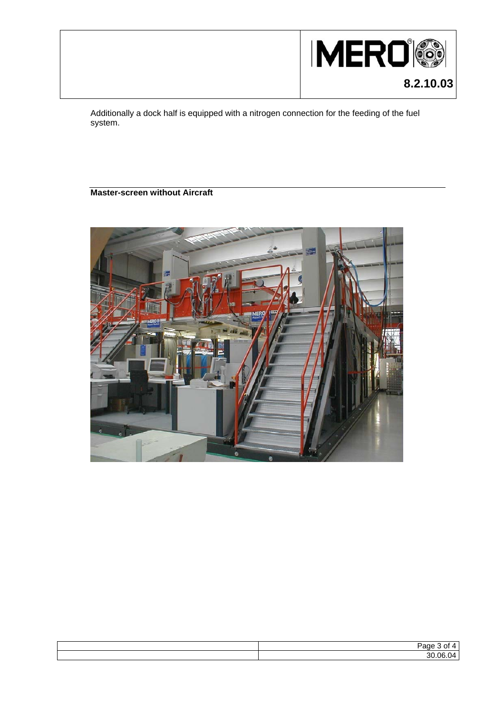

Additionally a dock half is equipped with a nitrogen connection for the feeding of the fuel system.

#### **Master-screen without Aircraft**



| ≃                            |
|------------------------------|
| $\sim$ $\sim$<br>n r<br>31 J |